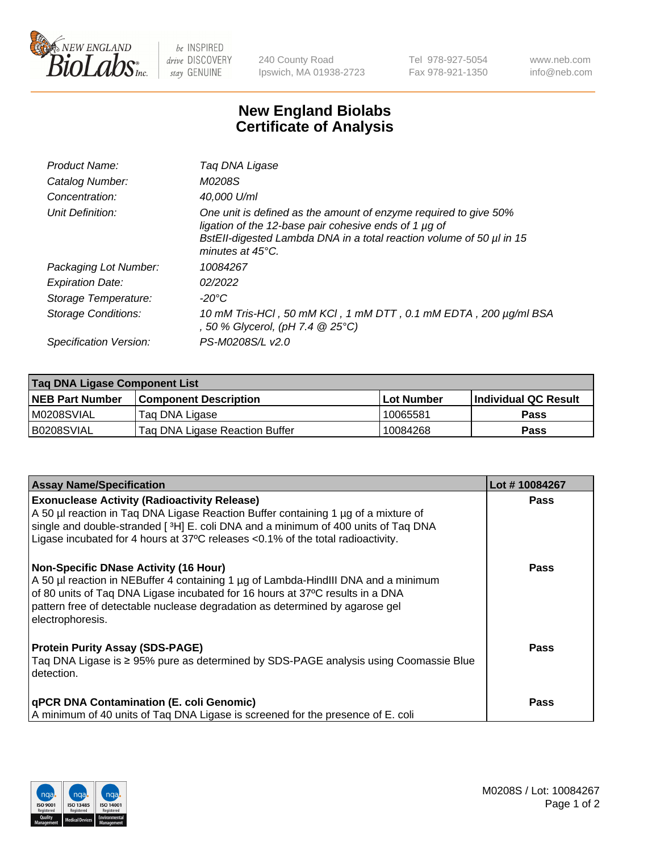

 $be$  INSPIRED drive DISCOVERY stay GENUINE

240 County Road Ipswich, MA 01938-2723 Tel 978-927-5054 Fax 978-921-1350 www.neb.com info@neb.com

## **New England Biolabs Certificate of Analysis**

| Product Name:           | Tag DNA Ligase                                                                                                                                                                                                                  |
|-------------------------|---------------------------------------------------------------------------------------------------------------------------------------------------------------------------------------------------------------------------------|
| Catalog Number:         | M0208S                                                                                                                                                                                                                          |
| Concentration:          | 40,000 U/ml                                                                                                                                                                                                                     |
| Unit Definition:        | One unit is defined as the amount of enzyme required to give 50%<br>ligation of the 12-base pair cohesive ends of 1 µg of<br>BstEll-digested Lambda DNA in a total reaction volume of 50 µl in 15<br>minutes at $45^{\circ}$ C. |
| Packaging Lot Number:   | 10084267                                                                                                                                                                                                                        |
| <b>Expiration Date:</b> | 02/2022                                                                                                                                                                                                                         |
| Storage Temperature:    | -20°C                                                                                                                                                                                                                           |
| Storage Conditions:     | 10 mM Tris-HCl, 50 mM KCl, 1 mM DTT, 0.1 mM EDTA, 200 µg/ml BSA<br>, 50 % Glycerol, (pH 7.4 @ 25°C)                                                                                                                             |
| Specification Version:  | PS-M0208S/L v2.0                                                                                                                                                                                                                |

| Taq DNA Ligase Component List |                                |            |                      |  |
|-------------------------------|--------------------------------|------------|----------------------|--|
| <b>NEB Part Number</b>        | <b>Component Description</b>   | Lot Number | Individual QC Result |  |
| IM0208SVIAL                   | Tag DNA Ligase                 | 10065581   | <b>Pass</b>          |  |
| B0208SVIAL                    | Taq DNA Ligase Reaction Buffer | 10084268   | Pass                 |  |

| <b>Assay Name/Specification</b>                                                                                                                                                                                                                                                                                         | Lot #10084267 |
|-------------------------------------------------------------------------------------------------------------------------------------------------------------------------------------------------------------------------------------------------------------------------------------------------------------------------|---------------|
| <b>Exonuclease Activity (Radioactivity Release)</b><br>A 50 µl reaction in Taq DNA Ligase Reaction Buffer containing 1 µg of a mixture of<br>single and double-stranded [3H] E. coli DNA and a minimum of 400 units of Taq DNA                                                                                          | <b>Pass</b>   |
| Ligase incubated for 4 hours at $37^{\circ}$ C releases < 0.1% of the total radioactivity.                                                                                                                                                                                                                              |               |
| <b>Non-Specific DNase Activity (16 Hour)</b><br>A 50 µl reaction in NEBuffer 4 containing 1 µg of Lambda-HindIII DNA and a minimum<br>of 80 units of Taq DNA Ligase incubated for 16 hours at 37°C results in a DNA<br>pattern free of detectable nuclease degradation as determined by agarose gel<br>electrophoresis. | <b>Pass</b>   |
| <b>Protein Purity Assay (SDS-PAGE)</b><br>Tag DNA Ligase is ≥ 95% pure as determined by SDS-PAGE analysis using Coomassie Blue<br>detection.                                                                                                                                                                            | <b>Pass</b>   |
| <b>qPCR DNA Contamination (E. coli Genomic)</b><br>A minimum of 40 units of Tag DNA Ligase is screened for the presence of E. coli                                                                                                                                                                                      | <b>Pass</b>   |